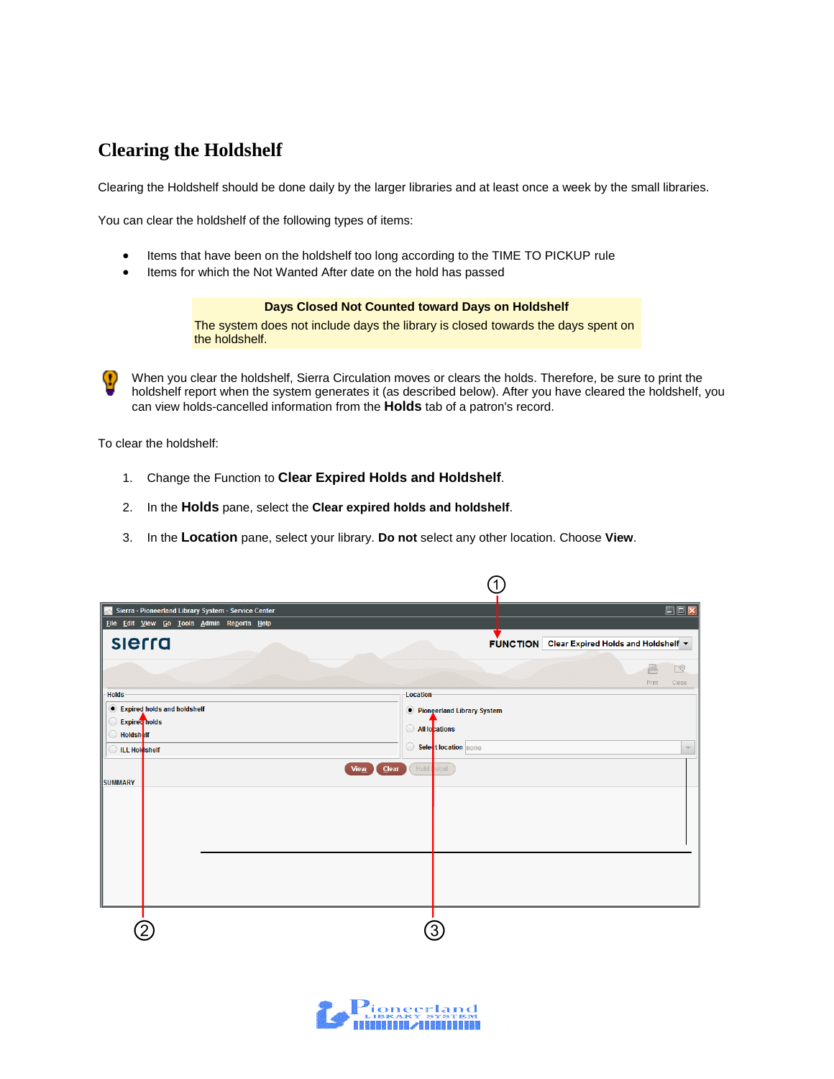## **Clearing the Holdshelf**

Clearing the Holdshelf should be done daily by the larger libraries and at least once a week by the small libraries.

You can clear the holdshelf of the following types of items:

- Items that have been on the holdshelf too long according to the TIME TO PICKUP rule
- Items for which the Not Wanted After date on the hold has passed

## **Days Closed Not Counted toward Days on Holdshelf**

The system does not include days the library is closed towards the days spent on the holdshelf.

When you clear the holdshelf, Sierra Circulation moves or clears the holds. Therefore, be sure to print the O holdshelf report when the system generates it (as described below). After you have cleared the holdshelf, you can view holds-cancelled information from the **Holds** tab of a patron's record.

To clear the holdshelf:

- 1. Change the Function to **Clear Expired Holds and Holdshelf**.
- 2. In the **Holds** pane, select the **Clear expired holds and holdshelf**.
- 3. In the **Location** pane, select your library. **Do not** select any other location. Choose **View**.

| Sierra · Pioneerland Library System · Service Center | $\square$ $\square$                          |
|------------------------------------------------------|----------------------------------------------|
| File Edit View Go Tools Admin Reports Help           |                                              |
| sierra                                               | FUNCTION Clear Expired Holds and Holdshelf v |
|                                                      | 昌<br>四                                       |
| <b>Holds</b>                                         | Print<br>Close<br>Location                   |
| • Expired holds and holdshelf                        | <i>O</i> Pioneerland Library System          |
| <b>Expired</b> nolds<br><b>Holdsholf</b>             | All locations                                |
| <b>ILL Holdshelf</b>                                 | Select location none<br>$\bigtriangledown$   |
|                                                      | Hold I<br>$C$ lear<br>View<br>etail          |
| <b>SUMMARY</b>                                       |                                              |
|                                                      |                                              |
|                                                      |                                              |
|                                                      |                                              |
|                                                      |                                              |
|                                                      |                                              |
|                                                      |                                              |
|                                                      |                                              |
|                                                      |                                              |

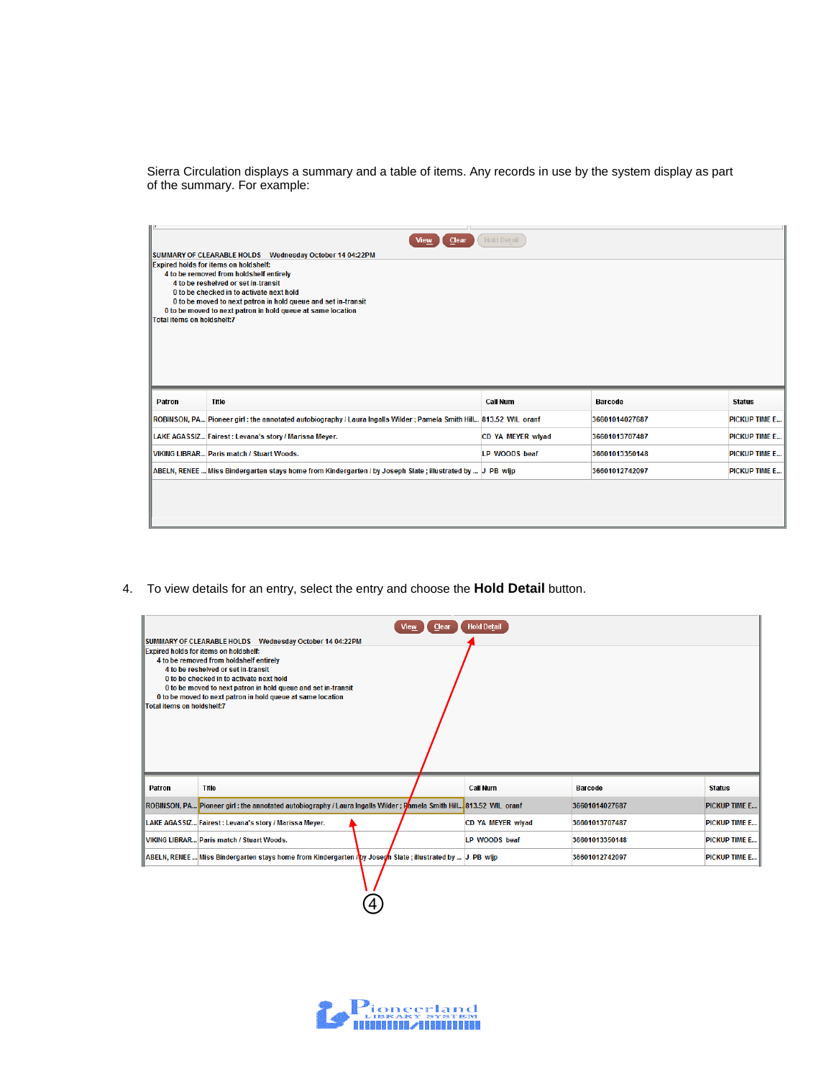Sierra Circulation displays a summary and a table of items. Any records in use by the system display as part of the summary. For example:

| <b>Hold Detail</b><br>Clear<br><b>View</b> |                                                                                                                              |                          |                |                      |  |  |  |
|--------------------------------------------|------------------------------------------------------------------------------------------------------------------------------|--------------------------|----------------|----------------------|--|--|--|
|                                            | <b>ISUMMARY OF CLEARABLE HOLDS Wednesday October 14 04:22PM</b>                                                              |                          |                |                      |  |  |  |
|                                            | Expired holds for items on holdshelf:<br>4 to be removed from holdshelf entirely                                             |                          |                |                      |  |  |  |
|                                            | 4 to be reshelved or set in-transit                                                                                          |                          |                |                      |  |  |  |
|                                            | 0 to be checked in to activate next hold                                                                                     |                          |                |                      |  |  |  |
|                                            | 0 to be moved to next patron in hold queue and set in-transit<br>0 to be moved to next patron in hold queue at same location |                          |                |                      |  |  |  |
| Total items on holdshelf:7                 |                                                                                                                              |                          |                |                      |  |  |  |
|                                            |                                                                                                                              |                          |                |                      |  |  |  |
|                                            |                                                                                                                              |                          |                |                      |  |  |  |
|                                            |                                                                                                                              |                          |                |                      |  |  |  |
|                                            |                                                                                                                              |                          |                |                      |  |  |  |
|                                            |                                                                                                                              |                          |                |                      |  |  |  |
| Patron                                     | Title                                                                                                                        | <b>Call Num</b>          | <b>Barcode</b> | <b>Status</b>        |  |  |  |
|                                            | ROBINSON, PA Pioneer girl: the annotated autobiography / Laura Ingalls Wilder; Pamela Smith Hill 813.52 WIL oranf            |                          | 36601014027687 | <b>PICKUP TIME E</b> |  |  |  |
|                                            | LAKE AGASSIZ Fairest: Levana's story / Marissa Meyer.                                                                        | <b>CD YA MEYER wivad</b> | 36601013707487 | <b>PICKUP TIME E</b> |  |  |  |
|                                            | <b>VIKING LIBRAR Paris match / Stuart Woods.</b>                                                                             | LP WOODS beaf            | 36601013350148 | <b>PICKUP TIME E</b> |  |  |  |
|                                            | ABELN, RENEE  Miss Bindergarten stays home from Kindergarten / by Joseph Slate; illustrated by   J PB wlip                   |                          | 36601012742097 | <b>PICKUP TIME E</b> |  |  |  |
|                                            |                                                                                                                              |                          |                |                      |  |  |  |
|                                            |                                                                                                                              |                          |                |                      |  |  |  |
|                                            |                                                                                                                              |                          |                |                      |  |  |  |
|                                            |                                                                                                                              |                          |                |                      |  |  |  |

4. To view details for an entry, select the entry and choose the **Hold Detail** button.

④

| <b>Hold Detail</b><br>Clear<br>View                        |                                                                                                                   |  |                          |                |                      |  |  |
|------------------------------------------------------------|-------------------------------------------------------------------------------------------------------------------|--|--------------------------|----------------|----------------------|--|--|
| SUMMARY OF CLEARABLE HOLDS    Wednesday October 14 04:22PM |                                                                                                                   |  |                          |                |                      |  |  |
| <b>IExpired holds for items on holdshelf:</b>              |                                                                                                                   |  |                          |                |                      |  |  |
|                                                            | 4 to be removed from holdshelf entirely                                                                           |  |                          |                |                      |  |  |
|                                                            | 4 to be reshelved or set in-transit<br>0 to be checked in to activate next hold                                   |  |                          |                |                      |  |  |
|                                                            | 0 to be moved to next patron in hold queue and set in-transit                                                     |  |                          |                |                      |  |  |
|                                                            | 0 to be moved to next patron in hold queue at same location                                                       |  |                          |                |                      |  |  |
| Total items on holdshelf:7                                 |                                                                                                                   |  |                          |                |                      |  |  |
|                                                            |                                                                                                                   |  |                          |                |                      |  |  |
|                                                            |                                                                                                                   |  |                          |                |                      |  |  |
|                                                            |                                                                                                                   |  |                          |                |                      |  |  |
|                                                            |                                                                                                                   |  |                          |                |                      |  |  |
|                                                            |                                                                                                                   |  |                          |                |                      |  |  |
| Patron                                                     | Title                                                                                                             |  | Call Num                 | <b>Barcode</b> | <b>Status</b>        |  |  |
|                                                            | ROBINSON, PA Pioneer girl: the annotated autobiography / Laura Ingalls Wilder; Pamela Smith Hill 813.52 WIL oranf |  |                          | 36601014027687 | <b>PICKUP TIME E</b> |  |  |
|                                                            |                                                                                                                   |  |                          |                |                      |  |  |
|                                                            | LAKE AGASSIZ Fairest: Levana's story / Marissa Meyer.                                                             |  | <b>CD YA MEYER wiyad</b> | 36601013707487 | <b>PICKUP TIME E</b> |  |  |
|                                                            | <b>VIKING LIBRAR Paris match / Stuart Woods.</b>                                                                  |  | LP WOODS beaf            | 36601013350148 | <b>PICKUP TIME E</b> |  |  |
|                                                            | ABELN, RENEE  Miss Bindergarten stays home from Kindergarten / by Joseph Slate ; illustrated by   J PB wlip       |  |                          | 36601012742097 | <b>PICKUP TIME E</b> |  |  |
|                                                            |                                                                                                                   |  |                          |                |                      |  |  |